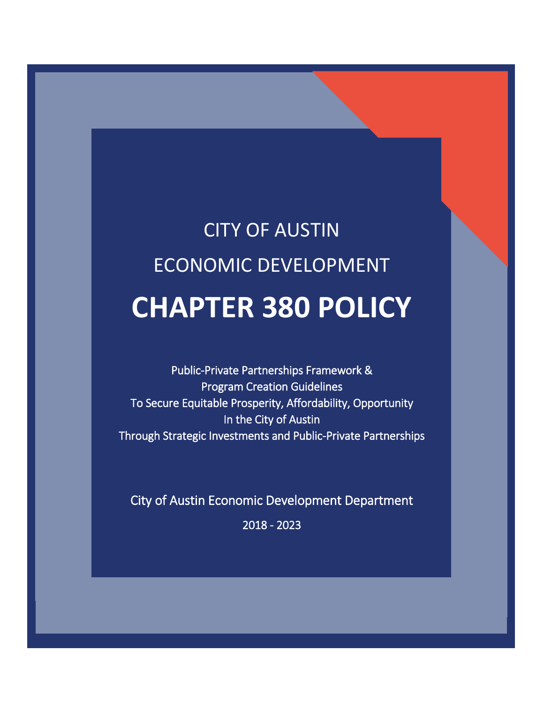# CITY OF AUSTIN ECONOMIC DEVELOPMENT **CHAPTER 380 POLICY**

l

í

Public-Private Partnerships Framework & Program Creation Guidelines To Secure Equitable Prosperity, Affordability, Opportunity In the City of Austin Through Strategic Investments and Public-Private Partnerships

City of Austin Economic Development Department

2018 - 2023

L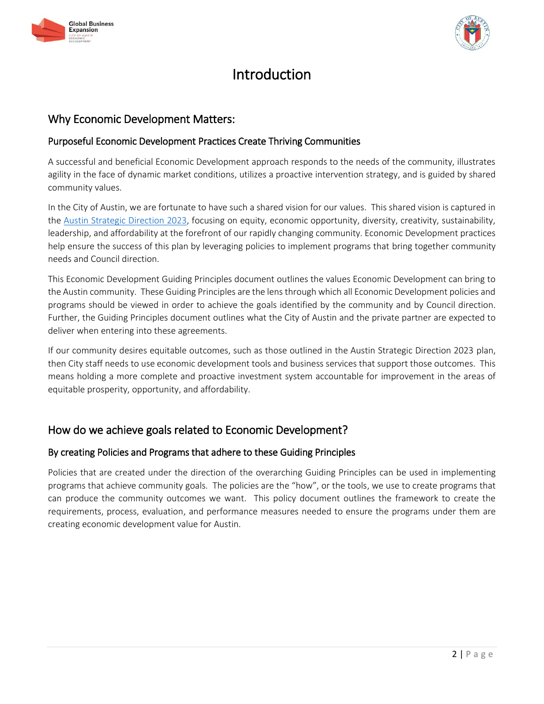



# Introduction

# Why Economic Development Matters:

# Purposeful Economic Development Practices Create Thriving Communities

A successful and beneficial Economic Development approach responds to the needs of the community, illustrates agility in the face of dynamic market conditions, utilizes a proactive intervention strategy, and is guided by shared community values.

In the City of Austin, we are fortunate to have such a shared vision for our values. This shared vision is captured in the [Austin Strategic Direction 2023,](https://austinstrategicplan.bloomfire.com/?feed=recent) focusing on equity, economic opportunity, diversity, creativity, sustainability, leadership, and affordability at the forefront of our rapidly changing community. Economic Development practices help ensure the success of this plan by leveraging policies to implement programs that bring together community needs and Council direction.

This Economic Development Guiding Principles document outlines the values Economic Development can bring to the Austin community. These Guiding Principles are the lens through which all Economic Development policies and programs should be viewed in order to achieve the goals identified by the community and by Council direction. Further, the Guiding Principles document outlines what the City of Austin and the private partner are expected to deliver when entering into these agreements.

If our community desires equitable outcomes, such as those outlined in the Austin Strategic Direction 2023 plan, then City staff needs to use economic development tools and business services that support those outcomes. This means holding a more complete and proactive investment system accountable for improvement in the areas of equitable prosperity, opportunity, and affordability.

# How do we achieve goals related to Economic Development?

## By creating Policies and Programs that adhere to these Guiding Principles

Policies that are created under the direction of the overarching Guiding Principles can be used in implementing programs that achieve community goals. The policies are the "how", or the tools, we use to create programs that can produce the community outcomes we want. This policy document outlines the framework to create the requirements, process, evaluation, and performance measures needed to ensure the programs under them are creating economic development value for Austin.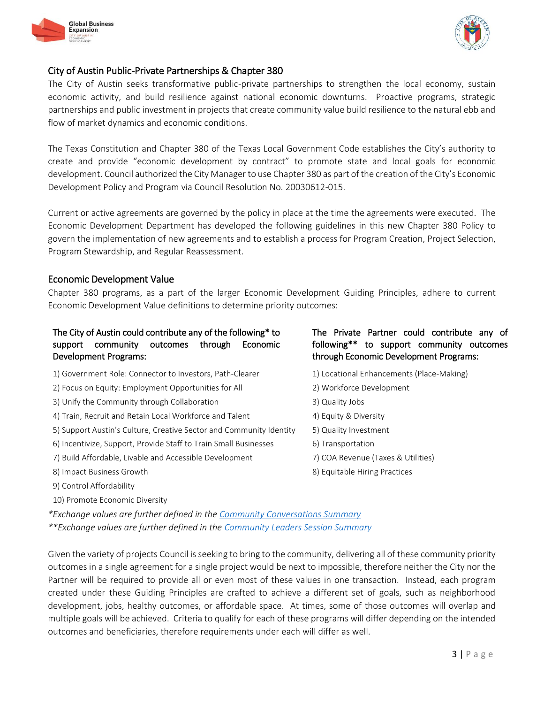



# City of Austin Public-Private Partnerships & Chapter 380

The City of Austin seeks transformative public-private partnerships to strengthen the local economy, sustain economic activity, and build resilience against national economic downturns. Proactive programs, strategic partnerships and public investment in projects that create community value build resilience to the natural ebb and flow of market dynamics and economic conditions.

The Texas Constitution and Chapter 380 of the Texas Local Government Code establishes the City's authority to create and provide "economic development by contract" to promote state and local goals for economic development. Council authorized the City Manager to use Chapter 380 as part of the creation of the City's Economic Development Policy and Program via Council Resolution No. 20030612-015.

Current or active agreements are governed by the policy in place at the time the agreements were executed. The Economic Development Department has developed the following guidelines in this new Chapter 380 Policy to govern the implementation of new agreements and to establish a process for Program Creation, Project Selection, Program Stewardship, and Regular Reassessment.

#### Economic Development Value

Chapter 380 programs, as a part of the larger Economic Development Guiding Principles, adhere to current Economic Development Value definitions to determine priority outcomes:

## The City of Austin could contribute any of the following\* to support community outcomes through Economic Development Programs:

- 1) Government Role: Connector to Investors, Path-Clearer 1) Locational Enhancements (Place-Making)
- 2) Focus on Equity: Employment Opportunities for All 2) Workforce Development
- 3) Unify the Community through Collaboration 3) Quality Jobs
- 4) Train, Recruit and Retain Local Workforce and Talent 4) Equity & Diversity
- 5) Support Austin's Culture, Creative Sector and Community Identity 5) Quality Investment
- 6) Incentivize, Support, Provide Staff to Train Small Businesses 6) Transportation
- 7) Build Affordable, Livable and Accessible Development 7) COA Revenue (Taxes & Utilities)
- 
- 9) Control Affordability
- 10) Promote Economic Diversity

## The Private Partner could contribute any of following\*\* to support community outcomes through Economic Development Programs:

- 
- 
- 
- 
- 
- 
- 
- 8) Impact Business Growth **8** and the set of the set of the set of the set of the set of the set of the set of the set of the set of the set of the set of the set of the set of the set of the set of the set of the set of t

*\*Exchange values are further defined in the [Community Conversations Summary](http://www.austintexas.gov/sites/default/files/files/Community_Conversation_Summary.pdf) \*\*Exchange values are further defined in the [Community Leaders Session Summary](http://www.austintexas.gov/sites/default/files/files/Community_Leaders_Session_Summary.pdf)*

Given the variety of projects Council is seeking to bring to the community, delivering all of these community priority outcomes in a single agreement for a single project would be next to impossible, therefore neither the City nor the Partner will be required to provide all or even most of these values in one transaction. Instead, each program created under these Guiding Principles are crafted to achieve a different set of goals, such as neighborhood development, jobs, healthy outcomes, or affordable space. At times, some of those outcomes will overlap and multiple goals will be achieved. Criteria to qualify for each of these programs will differ depending on the intended outcomes and beneficiaries, therefore requirements under each will differ as well.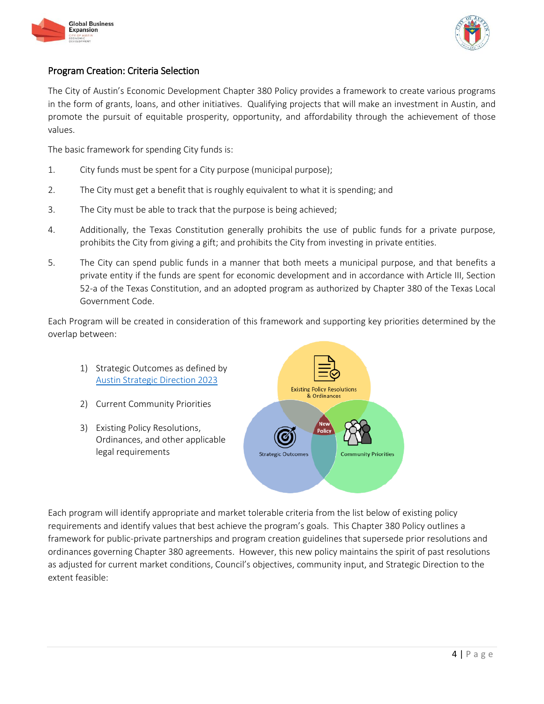



# Program Creation: Criteria Selection

The City of Austin's Economic Development Chapter 380 Policy provides a framework to create various programs in the form of grants, loans, and other initiatives. Qualifying projects that will make an investment in Austin, and promote the pursuit of equitable prosperity, opportunity, and affordability through the achievement of those values.

The basic framework for spending City funds is:

- 1. City funds must be spent for a City purpose (municipal purpose);
- 2. The City must get a benefit that is roughly equivalent to what it is spending; and
- 3. The City must be able to track that the purpose is being achieved;
- 4. Additionally, the Texas Constitution generally prohibits the use of public funds for a private purpose, prohibits the City from giving a gift; and prohibits the City from investing in private entities.
- 5. The City can spend public funds in a manner that both meets a municipal purpose, and that benefits a private entity if the funds are spent for economic development and in accordance with Article III, Section 52-a of the Texas Constitution, and an adopted program as authorized by Chapter 380 of the Texas Local Government Code.

Each Program will be created in consideration of this framework and supporting key priorities determined by the overlap between:

- 1) Strategic Outcomes as defined by [Austin Strategic Direction 2023](https://austinstrategicplan.bloomfire.com/posts/3222339-strategic-direction-2023-final-adopted-3-8-18)
- 2) Current Community Priorities
- 3) Existing Policy Resolutions, Ordinances, and other applicable legal requirements



Each program will identify appropriate and market tolerable criteria from the list below of existing policy requirements and identify values that best achieve the program's goals. This Chapter 380 Policy outlines a framework for public-private partnerships and program creation guidelines that supersede prior resolutions and ordinances governing Chapter 380 agreements. However, this new policy maintains the spirit of past resolutions as adjusted for current market conditions, Council's objectives, community input, and Strategic Direction to the extent feasible: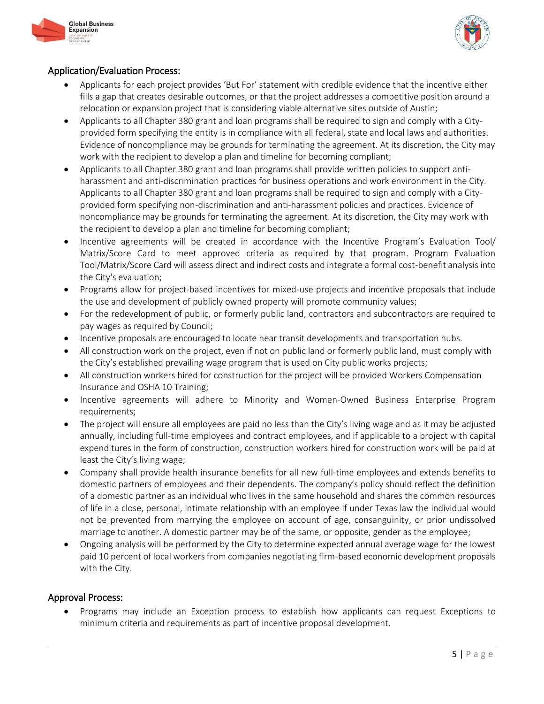



# Application/Evaluation Process:

- Applicants for each project provides 'But For' statement with credible evidence that the incentive either fills a gap that creates desirable outcomes, or that the project addresses a competitive position around a relocation or expansion project that is considering viable alternative sites outside of Austin;
- Applicants to all Chapter 380 grant and loan programs shall be required to sign and comply with a Cityprovided form specifying the entity is in compliance with all federal, state and local laws and authorities. Evidence of noncompliance may be grounds for terminating the agreement. At its discretion, the City may work with the recipient to develop a plan and timeline for becoming compliant;
- Applicants to all Chapter 380 grant and loan programs shall provide written policies to support antiharassment and anti-discrimination practices for business operations and work environment in the City. Applicants to all Chapter 380 grant and loan programs shall be required to sign and comply with a Cityprovided form specifying non-discrimination and anti-harassment policies and practices. Evidence of noncompliance may be grounds for terminating the agreement. At its discretion, the City may work with the recipient to develop a plan and timeline for becoming compliant;
- Incentive agreements will be created in accordance with the Incentive Program's Evaluation Tool/ Matrix/Score Card to meet approved criteria as required by that program. Program Evaluation Tool/Matrix/Score Card will assess direct and indirect costs and integrate a formal cost-benefit analysis into the City's evaluation;
- Programs allow for project-based incentives for mixed-use projects and incentive proposals that include the use and development of publicly owned property will promote community values;
- For the redevelopment of public, or formerly public land, contractors and subcontractors are required to pay wages as required by Council;
- Incentive proposals are encouraged to locate near transit developments and transportation hubs.
- All construction work on the project, even if not on public land or formerly public land, must comply with the City's established prevailing wage program that is used on City public works projects;
- All construction workers hired for construction for the project will be provided Workers Compensation Insurance and OSHA 10 Training;
- Incentive agreements will adhere to Minority and Women-Owned Business Enterprise Program requirements;
- The project will ensure all employees are paid no less than the City's living wage and as it may be adjusted annually, including full-time employees and contract employees, and if applicable to a project with capital expenditures in the form of construction, construction workers hired for construction work will be paid at least the City's living wage;
- Company shall provide health insurance benefits for all new full-time employees and extends benefits to domestic partners of employees and their dependents. The company's policy should reflect the definition of a domestic partner as an individual who lives in the same household and shares the common resources of life in a close, personal, intimate relationship with an employee if under Texas law the individual would not be prevented from marrying the employee on account of age, consanguinity, or prior undissolved marriage to another. A domestic partner may be of the same, or opposite, gender as the employee;
- Ongoing analysis will be performed by the City to determine expected annual average wage for the lowest paid 10 percent of local workers from companies negotiating firm-based economic development proposals with the City.

## Approval Process:

 Programs may include an Exception process to establish how applicants can request Exceptions to minimum criteria and requirements as part of incentive proposal development.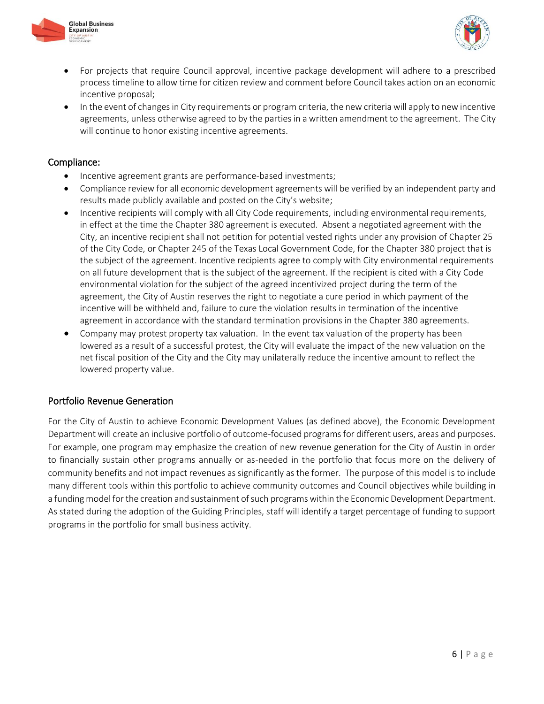



- For projects that require Council approval, incentive package development will adhere to a prescribed process timeline to allow time for citizen review and comment before Council takes action on an economic incentive proposal;
- In the event of changes in City requirements or program criteria, the new criteria will apply to new incentive agreements, unless otherwise agreed to by the parties in a written amendment to the agreement. The City will continue to honor existing incentive agreements.

#### Compliance:

- Incentive agreement grants are performance-based investments;
- Compliance review for all economic development agreements will be verified by an independent party and results made publicly available and posted on the City's website;
- Incentive recipients will comply with all City Code requirements, including environmental requirements, in effect at the time the Chapter 380 agreement is executed. Absent a negotiated agreement with the City, an incentive recipient shall not petition for potential vested rights under any provision of Chapter 25 of the City Code, or Chapter 245 of the Texas Local Government Code, for the Chapter 380 project that is the subject of the agreement. Incentive recipients agree to comply with City environmental requirements on all future development that is the subject of the agreement. If the recipient is cited with a City Code environmental violation for the subject of the agreed incentivized project during the term of the agreement, the City of Austin reserves the right to negotiate a cure period in which payment of the incentive will be withheld and, failure to cure the violation results in termination of the incentive agreement in accordance with the standard termination provisions in the Chapter 380 agreements.
- Company may protest property tax valuation. In the event tax valuation of the property has been lowered as a result of a successful protest, the City will evaluate the impact of the new valuation on the net fiscal position of the City and the City may unilaterally reduce the incentive amount to reflect the lowered property value.

## Portfolio Revenue Generation

For the City of Austin to achieve Economic Development Values (as defined above), the Economic Development Department will create an inclusive portfolio of outcome-focused programs for different users, areas and purposes. For example, one program may emphasize the creation of new revenue generation for the City of Austin in order to financially sustain other programs annually or as-needed in the portfolio that focus more on the delivery of community benefits and not impact revenues as significantly as the former. The purpose of this model is to include many different tools within this portfolio to achieve community outcomes and Council objectives while building in a funding model for the creation and sustainment of such programs within the Economic Development Department. As stated during the adoption of the Guiding Principles, staff will identify a target percentage of funding to support programs in the portfolio for small business activity.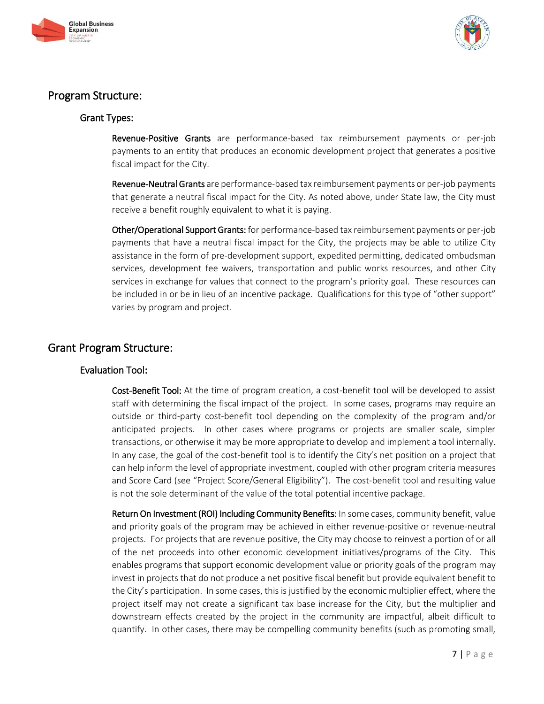



# Program Structure:

## Grant Types:

Revenue-Positive Grants are performance-based tax reimbursement payments or per-job payments to an entity that produces an economic development project that generates a positive fiscal impact for the City.

Revenue-Neutral Grants are performance-based tax reimbursement payments or per-job payments that generate a neutral fiscal impact for the City. As noted above, under State law, the City must receive a benefit roughly equivalent to what it is paying.

Other/Operational Support Grants: for performance-based tax reimbursement payments or per-job payments that have a neutral fiscal impact for the City, the projects may be able to utilize City assistance in the form of pre-development support, expedited permitting, dedicated ombudsman services, development fee waivers, transportation and public works resources, and other City services in exchange for values that connect to the program's priority goal. These resources can be included in or be in lieu of an incentive package. Qualifications for this type of "other support" varies by program and project.

# Grant Program Structure:

## Evaluation Tool:

Cost-Benefit Tool: At the time of program creation, a cost-benefit tool will be developed to assist staff with determining the fiscal impact of the project. In some cases, programs may require an outside or third-party cost-benefit tool depending on the complexity of the program and/or anticipated projects. In other cases where programs or projects are smaller scale, simpler transactions, or otherwise it may be more appropriate to develop and implement a tool internally. In any case, the goal of the cost-benefit tool is to identify the City's net position on a project that can help inform the level of appropriate investment, coupled with other program criteria measures and Score Card (see "Project Score/General Eligibility"). The cost-benefit tool and resulting value is not the sole determinant of the value of the total potential incentive package.

Return On Investment (ROI) Including Community Benefits: In some cases, community benefit, value and priority goals of the program may be achieved in either revenue-positive or revenue-neutral projects. For projects that are revenue positive, the City may choose to reinvest a portion of or all of the net proceeds into other economic development initiatives/programs of the City. This enables programs that support economic development value or priority goals of the program may invest in projects that do not produce a net positive fiscal benefit but provide equivalent benefit to the City's participation. In some cases, this is justified by the economic multiplier effect, where the project itself may not create a significant tax base increase for the City, but the multiplier and downstream effects created by the project in the community are impactful, albeit difficult to quantify. In other cases, there may be compelling community benefits (such as promoting small,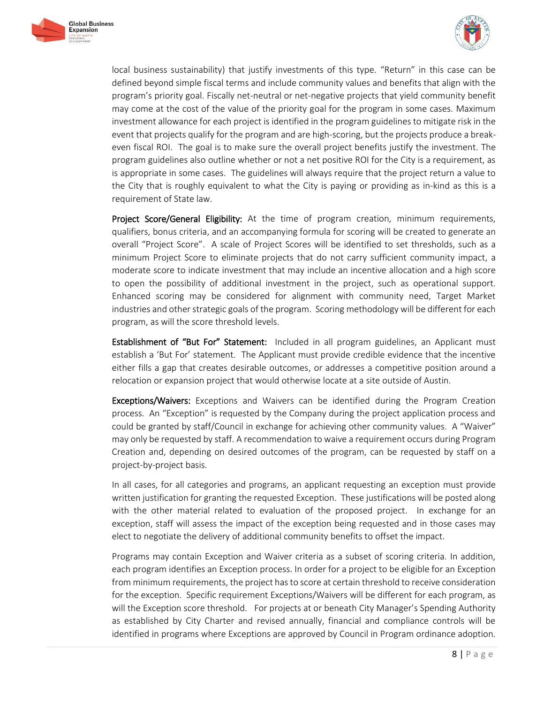



local business sustainability) that justify investments of this type. "Return" in this case can be defined beyond simple fiscal terms and include community values and benefits that align with the program's priority goal. Fiscally net-neutral or net-negative projects that yield community benefit may come at the cost of the value of the priority goal for the program in some cases. Maximum investment allowance for each project is identified in the program guidelines to mitigate risk in the event that projects qualify for the program and are high-scoring, but the projects produce a breakeven fiscal ROI. The goal is to make sure the overall project benefits justify the investment. The program guidelines also outline whether or not a net positive ROI for the City is a requirement, as is appropriate in some cases. The guidelines will always require that the project return a value to the City that is roughly equivalent to what the City is paying or providing as in-kind as this is a requirement of State law.

Project Score/General Eligibility: At the time of program creation, minimum requirements, qualifiers, bonus criteria, and an accompanying formula for scoring will be created to generate an overall "Project Score". A scale of Project Scores will be identified to set thresholds, such as a minimum Project Score to eliminate projects that do not carry sufficient community impact, a moderate score to indicate investment that may include an incentive allocation and a high score to open the possibility of additional investment in the project, such as operational support. Enhanced scoring may be considered for alignment with community need, Target Market industries and other strategic goals of the program. Scoring methodology will be different for each program, as will the score threshold levels.

**Establishment of "But For" Statement:** Included in all program guidelines, an Applicant must establish a 'But For' statement. The Applicant must provide credible evidence that the incentive either fills a gap that creates desirable outcomes, or addresses a competitive position around a relocation or expansion project that would otherwise locate at a site outside of Austin.

**Exceptions/Waivers:** Exceptions and Waivers can be identified during the Program Creation process. An "Exception" is requested by the Company during the project application process and could be granted by staff/Council in exchange for achieving other community values. A "Waiver" may only be requested by staff. A recommendation to waive a requirement occurs during Program Creation and, depending on desired outcomes of the program, can be requested by staff on a project-by-project basis.

In all cases, for all categories and programs, an applicant requesting an exception must provide written justification for granting the requested Exception. These justifications will be posted along with the other material related to evaluation of the proposed project. In exchange for an exception, staff will assess the impact of the exception being requested and in those cases may elect to negotiate the delivery of additional community benefits to offset the impact.

Programs may contain Exception and Waiver criteria as a subset of scoring criteria. In addition, each program identifies an Exception process. In order for a project to be eligible for an Exception from minimum requirements, the project has to score at certain threshold to receive consideration for the exception. Specific requirement Exceptions/Waivers will be different for each program, as will the Exception score threshold. For projects at or beneath City Manager's Spending Authority as established by City Charter and revised annually, financial and compliance controls will be identified in programs where Exceptions are approved by Council in Program ordinance adoption.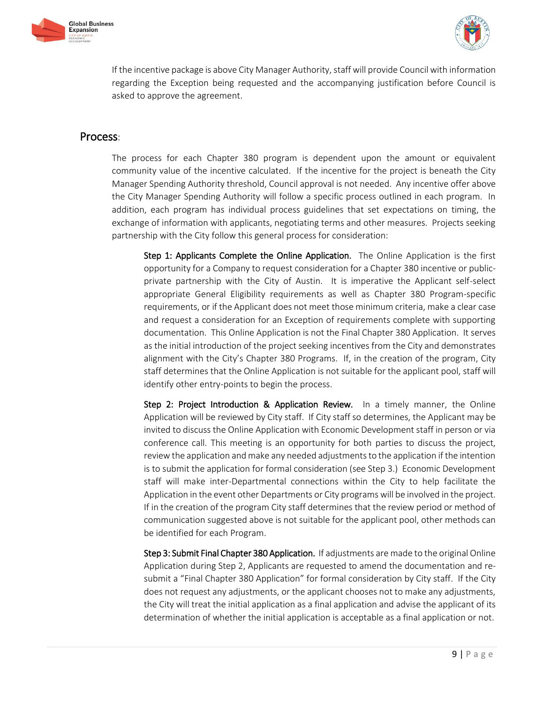



If the incentive package is above City Manager Authority, staff will provide Council with information regarding the Exception being requested and the accompanying justification before Council is asked to approve the agreement.

# Process:

The process for each Chapter 380 program is dependent upon the amount or equivalent community value of the incentive calculated. If the incentive for the project is beneath the City Manager Spending Authority threshold, Council approval is not needed. Any incentive offer above the City Manager Spending Authority will follow a specific process outlined in each program. In addition, each program has individual process guidelines that set expectations on timing, the exchange of information with applicants, negotiating terms and other measures. Projects seeking partnership with the City follow this general process for consideration:

Step 1: Applicants Complete the Online Application. The Online Application is the first opportunity for a Company to request consideration for a Chapter 380 incentive or publicprivate partnership with the City of Austin. It is imperative the Applicant self-select appropriate General Eligibility requirements as well as Chapter 380 Program-specific requirements, or if the Applicant does not meet those minimum criteria, make a clear case and request a consideration for an Exception of requirements complete with supporting documentation. This Online Application is not the Final Chapter 380 Application. It serves as the initial introduction of the project seeking incentives from the City and demonstrates alignment with the City's Chapter 380 Programs. If, in the creation of the program, City staff determines that the Online Application is not suitable for the applicant pool, staff will identify other entry-points to begin the process.

Step 2: Project Introduction & Application Review. In a timely manner, the Online Application will be reviewed by City staff. If City staff so determines, the Applicant may be invited to discuss the Online Application with Economic Development staff in person or via conference call. This meeting is an opportunity for both parties to discuss the project, review the application and make any needed adjustments to the application if the intention is to submit the application for formal consideration (see Step 3.) Economic Development staff will make inter-Departmental connections within the City to help facilitate the Application in the event other Departments or City programs will be involved in the project. If in the creation of the program City staff determines that the review period or method of communication suggested above is not suitable for the applicant pool, other methods can be identified for each Program.

Step 3: Submit Final Chapter 380 Application. If adjustments are made to the original Online Application during Step 2, Applicants are requested to amend the documentation and resubmit a "Final Chapter 380 Application" for formal consideration by City staff. If the City does not request any adjustments, or the applicant chooses not to make any adjustments, the City will treat the initial application as a final application and advise the applicant of its determination of whether the initial application is acceptable as a final application or not.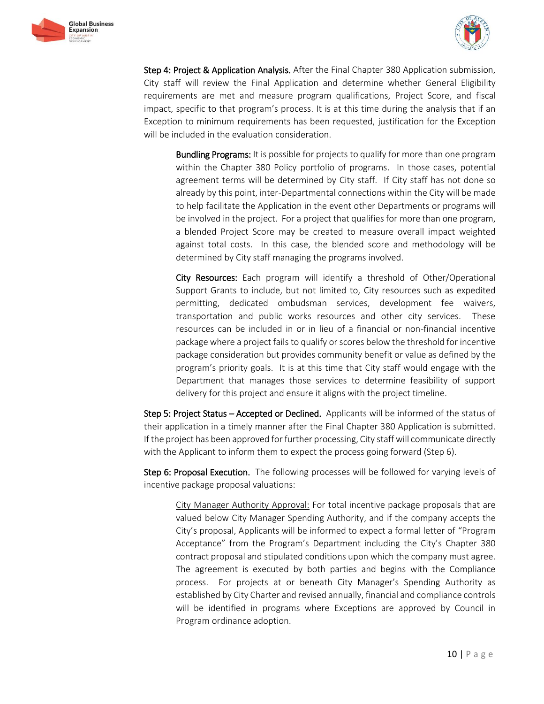



Step 4: Project & Application Analysis. After the Final Chapter 380 Application submission, City staff will review the Final Application and determine whether General Eligibility requirements are met and measure program qualifications, Project Score, and fiscal impact, specific to that program's process. It is at this time during the analysis that if an Exception to minimum requirements has been requested, justification for the Exception will be included in the evaluation consideration.

Bundling Programs: It is possible for projects to qualify for more than one program within the Chapter 380 Policy portfolio of programs. In those cases, potential agreement terms will be determined by City staff. If City staff has not done so already by this point, inter-Departmental connections within the City will be made to help facilitate the Application in the event other Departments or programs will be involved in the project. For a project that qualifies for more than one program, a blended Project Score may be created to measure overall impact weighted against total costs. In this case, the blended score and methodology will be determined by City staff managing the programs involved.

City Resources: Each program will identify a threshold of Other/Operational Support Grants to include, but not limited to, City resources such as expedited permitting, dedicated ombudsman services, development fee waivers, transportation and public works resources and other city services. These resources can be included in or in lieu of a financial or non-financial incentive package where a project fails to qualify or scores below the threshold for incentive package consideration but provides community benefit or value as defined by the program's priority goals. It is at this time that City staff would engage with the Department that manages those services to determine feasibility of support delivery for this project and ensure it aligns with the project timeline.

Step 5: Project Status – Accepted or Declined. Applicants will be informed of the status of their application in a timely manner after the Final Chapter 380 Application is submitted. If the project has been approved for further processing, City staff will communicate directly with the Applicant to inform them to expect the process going forward (Step 6).

Step 6: Proposal Execution. The following processes will be followed for varying levels of incentive package proposal valuations:

City Manager Authority Approval: For total incentive package proposals that are valued below City Manager Spending Authority, and if the company accepts the City's proposal, Applicants will be informed to expect a formal letter of "Program Acceptance" from the Program's Department including the City's Chapter 380 contract proposal and stipulated conditions upon which the company must agree. The agreement is executed by both parties and begins with the Compliance process. For projects at or beneath City Manager's Spending Authority as established by City Charter and revised annually, financial and compliance controls will be identified in programs where Exceptions are approved by Council in Program ordinance adoption.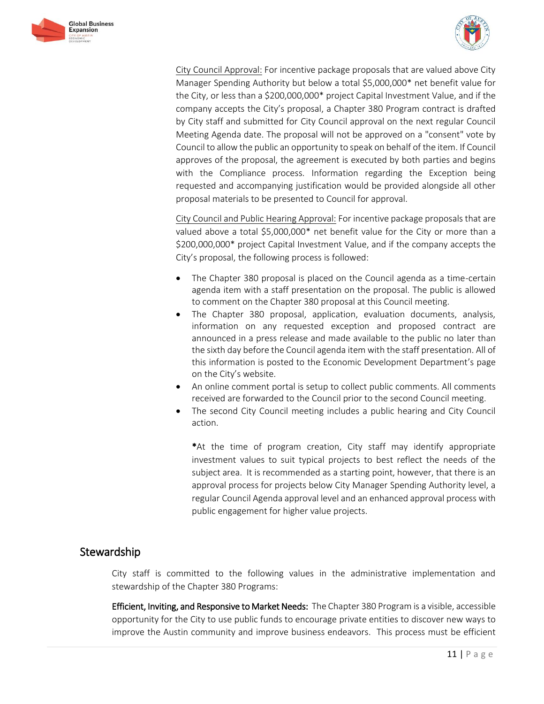



City Council Approval: For incentive package proposals that are valued above City Manager Spending Authority but below a total \$5,000,000\* net benefit value for the City, or less than a \$200,000,000\* project Capital Investment Value, and if the company accepts the City's proposal, a Chapter 380 Program contract is drafted by City staff and submitted for City Council approval on the next regular Council Meeting Agenda date. The proposal will not be approved on a "consent" vote by Council to allow the public an opportunity to speak on behalf of the item. If Council approves of the proposal, the agreement is executed by both parties and begins with the Compliance process. Information regarding the Exception being requested and accompanying justification would be provided alongside all other proposal materials to be presented to Council for approval.

City Council and Public Hearing Approval: For incentive package proposals that are valued above a total \$5,000,000\* net benefit value for the City or more than a \$200,000,000\* project Capital Investment Value, and if the company accepts the City's proposal, the following process is followed:

- The Chapter 380 proposal is placed on the Council agenda as a time-certain agenda item with a staff presentation on the proposal. The public is allowed to comment on the Chapter 380 proposal at this Council meeting.
- The Chapter 380 proposal, application, evaluation documents, analysis, information on any requested exception and proposed contract are announced in a press release and made available to the public no later than the sixth day before the Council agenda item with the staff presentation. All of this information is posted to the Economic Development Department's page on the City's website.
- An online comment portal is setup to collect public comments. All comments received are forwarded to the Council prior to the second Council meeting.
- The second City Council meeting includes a public hearing and City Council action.

 \*At the time of program creation, City staff may identify appropriate investment values to suit typical projects to best reflect the needs of the subject area. It is recommended as a starting point, however, that there is an approval process for projects below City Manager Spending Authority level, a regular Council Agenda approval level and an enhanced approval process with public engagement for higher value projects.

# Stewardship

City staff is committed to the following values in the administrative implementation and stewardship of the Chapter 380 Programs:

Efficient, Inviting, and Responsive to Market Needs: The Chapter 380 Program is a visible, accessible opportunity for the City to use public funds to encourage private entities to discover new ways to improve the Austin community and improve business endeavors. This process must be efficient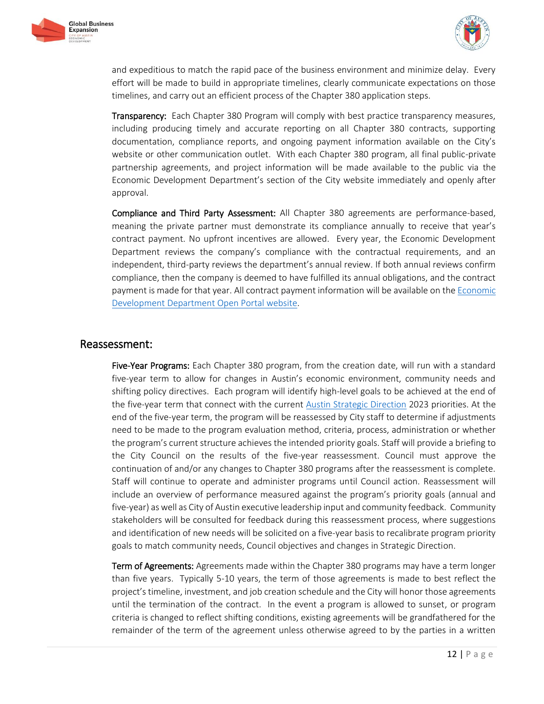



and expeditious to match the rapid pace of the business environment and minimize delay. Every effort will be made to build in appropriate timelines, clearly communicate expectations on those timelines, and carry out an efficient process of the Chapter 380 application steps.

Transparency: Each Chapter 380 Program will comply with best practice transparency measures, including producing timely and accurate reporting on all Chapter 380 contracts, supporting documentation, compliance reports, and ongoing payment information available on the City's website or other communication outlet. With each Chapter 380 program, all final public-private partnership agreements, and project information will be made available to the public via the Economic Development Department's section of the City website immediately and openly after approval.

Compliance and Third Party Assessment: All Chapter 380 agreements are performance-based, meaning the private partner must demonstrate its compliance annually to receive that year's contract payment. No upfront incentives are allowed. Every year, the Economic Development Department reviews the company's compliance with the contractual requirements, and an independent, third-party reviews the department's annual review. If both annual reviews confirm compliance, then the company is deemed to have fulfilled its annual obligations, and the contract payment is made for that year. All contract payment information will be available on the [Economic](http://www.austintexas.gov/economic-development-compliance)  [Development Department Open Portal website.](http://www.austintexas.gov/economic-development-compliance)

# Reassessment:

Five-Year Programs: Each Chapter 380 program, from the creation date, will run with a standard five-year term to allow for changes in Austin's economic environment, community needs and shifting policy directives. Each program will identify high-level goals to be achieved at the end of the five-year term that connect with the current [Austin Strategic Direction](https://austinstrategicplan.bloomfire.com/posts/3222339-strategic-direction-2023-final-adopted-3-8-18) 2023 priorities. At the end of the five-year term, the program will be reassessed by City staff to determine if adjustments need to be made to the program evaluation method, criteria, process, administration or whether the program's current structure achieves the intended priority goals. Staff will provide a briefing to the City Council on the results of the five-year reassessment. Council must approve the continuation of and/or any changes to Chapter 380 programs after the reassessment is complete. Staff will continue to operate and administer programs until Council action. Reassessment will include an overview of performance measured against the program's priority goals (annual and five-year) as well as City of Austin executive leadership input and community feedback. Community stakeholders will be consulted for feedback during this reassessment process, where suggestions and identification of new needs will be solicited on a five-year basis to recalibrate program priority goals to match community needs, Council objectives and changes in Strategic Direction.

Term of Agreements: Agreements made within the Chapter 380 programs may have a term longer than five years. Typically 5-10 years, the term of those agreements is made to best reflect the project's timeline, investment, and job creation schedule and the City will honor those agreements until the termination of the contract. In the event a program is allowed to sunset, or program criteria is changed to reflect shifting conditions, existing agreements will be grandfathered for the remainder of the term of the agreement unless otherwise agreed to by the parties in a written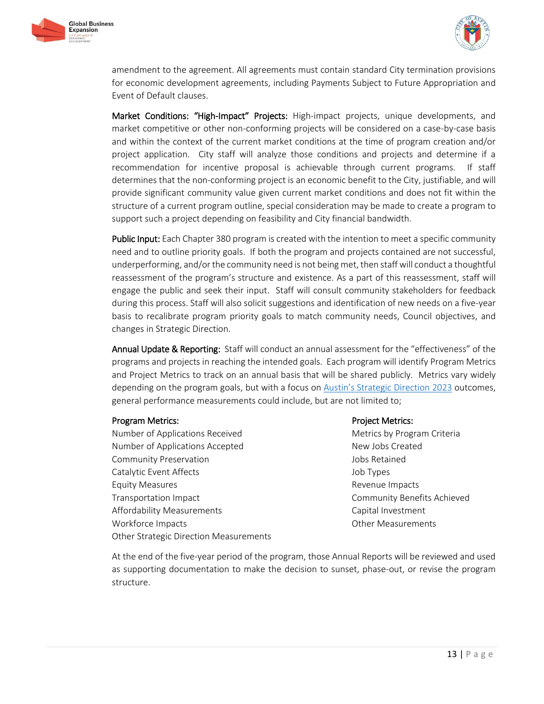



amendment to the agreement. All agreements must contain standard City termination provisions for economic development agreements, including Payments Subject to Future Appropriation and Event of Default clauses.

Market Conditions: "High-Impact" Projects: High-impact projects, unique developments, and market competitive or other non-conforming projects will be considered on a case-by-case basis and within the context of the current market conditions at the time of program creation and/or project application. City staff will analyze those conditions and projects and determine if a recommendation for incentive proposal is achievable through current programs. If staff determines that the non-conforming project is an economic benefit to the City, justifiable, and will provide significant community value given current market conditions and does not fit within the structure of a current program outline, special consideration may be made to create a program to support such a project depending on feasibility and City financial bandwidth.

Public Input: Each Chapter 380 program is created with the intention to meet a specific community need and to outline priority goals. If both the program and projects contained are not successful, underperforming, and/or the community need is not being met, then staff will conduct a thoughtful reassessment of the program's structure and existence. As a part of this reassessment, staff will engage the public and seek their input. Staff will consult community stakeholders for feedback during this process. Staff will also solicit suggestions and identification of new needs on a five-year basis to recalibrate program priority goals to match community needs, Council objectives, and changes in Strategic Direction.

Annual Update & Reporting: Staff will conduct an annual assessment for the "effectiveness" of the programs and projects in reaching the intended goals. Each program will identify Program Metrics and Project Metrics to track on an annual basis that will be shared publicly. Metrics vary widely depending on the program goals, but with a focus on [Austin's Strategic Direction](https://austinstrategicplan.bloomfire.com/posts/3222339-strategic-direction-2023-final-adopted-3-8-18) 2023 outcomes, general performance measurements could include, but are not limited to;

#### Program Metrics:

Number of Applications Received Number of Applications Accepted Community Preservation Catalytic Event Affects Equity Measures Transportation Impact Affordability Measurements Workforce Impacts Other Strategic Direction Measurements

#### Project Metrics:

Metrics by Program Criteria New Jobs Created Jobs Retained Job Types Revenue Impacts Community Benefits Achieved Capital Investment Other Measurements

At the end of the five-year period of the program, those Annual Reports will be reviewed and used as supporting documentation to make the decision to sunset, phase-out, or revise the program structure.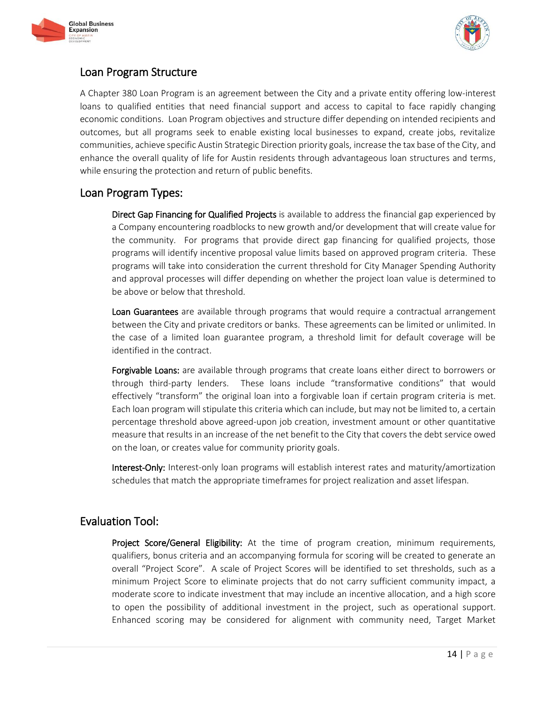



# Loan Program Structure

A Chapter 380 Loan Program is an agreement between the City and a private entity offering low-interest loans to qualified entities that need financial support and access to capital to face rapidly changing economic conditions. Loan Program objectives and structure differ depending on intended recipients and outcomes, but all programs seek to enable existing local businesses to expand, create jobs, revitalize communities, achieve specific Austin Strategic Direction priority goals, increase the tax base of the City, and enhance the overall quality of life for Austin residents through advantageous loan structures and terms, while ensuring the protection and return of public benefits.

# Loan Program Types:

Direct Gap Financing for Qualified Projects is available to address the financial gap experienced by a Company encountering roadblocks to new growth and/or development that will create value for the community. For programs that provide direct gap financing for qualified projects, those programs will identify incentive proposal value limits based on approved program criteria. These programs will take into consideration the current threshold for City Manager Spending Authority and approval processes will differ depending on whether the project loan value is determined to be above or below that threshold.

Loan Guarantees are available through programs that would require a contractual arrangement between the City and private creditors or banks. These agreements can be limited or unlimited. In the case of a limited loan guarantee program, a threshold limit for default coverage will be identified in the contract.

Forgivable Loans: are available through programs that create loans either direct to borrowers or through third-party lenders. These loans include "transformative conditions" that would effectively "transform" the original loan into a forgivable loan if certain program criteria is met. Each loan program will stipulate this criteria which can include, but may not be limited to, a certain percentage threshold above agreed-upon job creation, investment amount or other quantitative measure that results in an increase of the net benefit to the City that covers the debt service owed on the loan, or creates value for community priority goals.

Interest-Only: Interest-only loan programs will establish interest rates and maturity/amortization schedules that match the appropriate timeframes for project realization and asset lifespan.

# Evaluation Tool:

Project Score/General Eligibility: At the time of program creation, minimum requirements, qualifiers, bonus criteria and an accompanying formula for scoring will be created to generate an overall "Project Score". A scale of Project Scores will be identified to set thresholds, such as a minimum Project Score to eliminate projects that do not carry sufficient community impact, a moderate score to indicate investment that may include an incentive allocation, and a high score to open the possibility of additional investment in the project, such as operational support. Enhanced scoring may be considered for alignment with community need, Target Market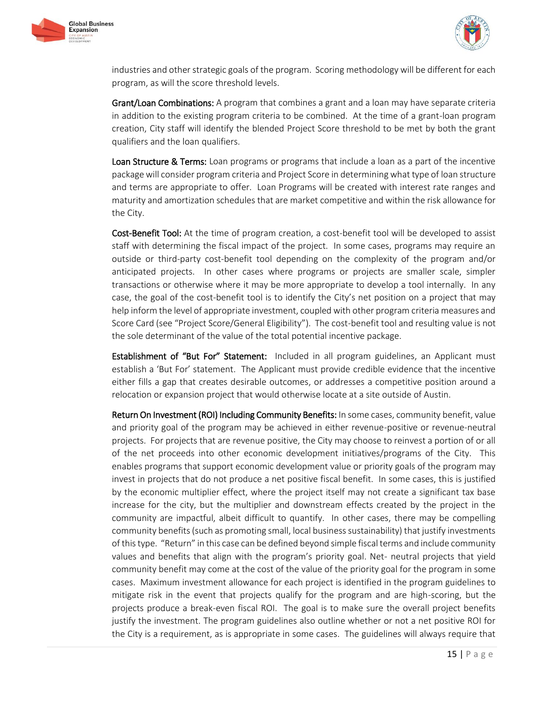



industries and other strategic goals of the program. Scoring methodology will be different for each program, as will the score threshold levels.

Grant/Loan Combinations: A program that combines a grant and a loan may have separate criteria in addition to the existing program criteria to be combined. At the time of a grant-loan program creation, City staff will identify the blended Project Score threshold to be met by both the grant qualifiers and the loan qualifiers.

Loan Structure & Terms: Loan programs or programs that include a loan as a part of the incentive package will consider program criteria and Project Score in determining what type of loan structure and terms are appropriate to offer. Loan Programs will be created with interest rate ranges and maturity and amortization schedules that are market competitive and within the risk allowance for the City.

Cost-Benefit Tool: At the time of program creation, a cost-benefit tool will be developed to assist staff with determining the fiscal impact of the project. In some cases, programs may require an outside or third-party cost-benefit tool depending on the complexity of the program and/or anticipated projects. In other cases where programs or projects are smaller scale, simpler transactions or otherwise where it may be more appropriate to develop a tool internally. In any case, the goal of the cost-benefit tool is to identify the City's net position on a project that may help inform the level of appropriate investment, coupled with other program criteria measures and Score Card (see "Project Score/General Eligibility"). The cost-benefit tool and resulting value is not the sole determinant of the value of the total potential incentive package.

**Establishment of "But For" Statement:** Included in all program guidelines, an Applicant must establish a 'But For' statement. The Applicant must provide credible evidence that the incentive either fills a gap that creates desirable outcomes, or addresses a competitive position around a relocation or expansion project that would otherwise locate at a site outside of Austin.

Return On Investment (ROI) Including Community Benefits: In some cases, community benefit, value and priority goal of the program may be achieved in either revenue-positive or revenue-neutral projects. For projects that are revenue positive, the City may choose to reinvest a portion of or all of the net proceeds into other economic development initiatives/programs of the City. This enables programs that support economic development value or priority goals of the program may invest in projects that do not produce a net positive fiscal benefit. In some cases, this is justified by the economic multiplier effect, where the project itself may not create a significant tax base increase for the city, but the multiplier and downstream effects created by the project in the community are impactful, albeit difficult to quantify. In other cases, there may be compelling community benefits (such as promoting small, local business sustainability) that justify investments of this type. "Return" in this case can be defined beyond simple fiscal terms and include community values and benefits that align with the program's priority goal. Net- neutral projects that yield community benefit may come at the cost of the value of the priority goal for the program in some cases. Maximum investment allowance for each project is identified in the program guidelines to mitigate risk in the event that projects qualify for the program and are high-scoring, but the projects produce a break-even fiscal ROI. The goal is to make sure the overall project benefits justify the investment. The program guidelines also outline whether or not a net positive ROI for the City is a requirement, as is appropriate in some cases. The guidelines will always require that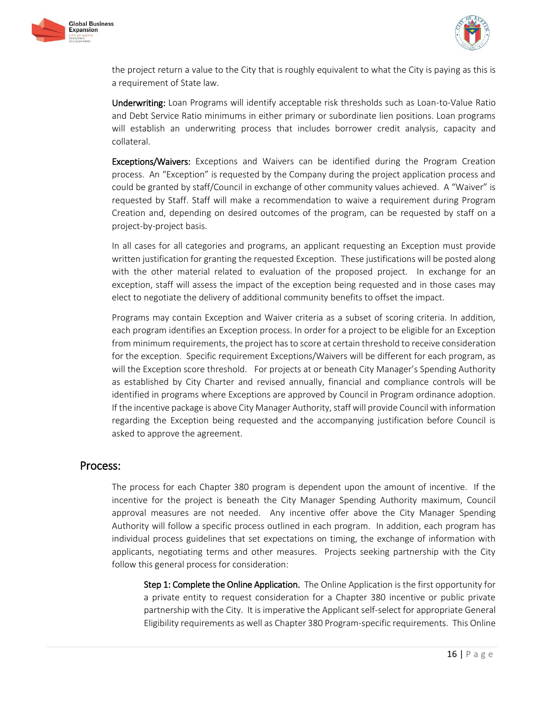



the project return a value to the City that is roughly equivalent to what the City is paying as this is a requirement of State law.

Underwriting: Loan Programs will identify acceptable risk thresholds such as Loan-to-Value Ratio and Debt Service Ratio minimums in either primary or subordinate lien positions. Loan programs will establish an underwriting process that includes borrower credit analysis, capacity and collateral.

**Exceptions/Waivers:** Exceptions and Waivers can be identified during the Program Creation process. An "Exception" is requested by the Company during the project application process and could be granted by staff/Council in exchange of other community values achieved. A "Waiver" is requested by Staff. Staff will make a recommendation to waive a requirement during Program Creation and, depending on desired outcomes of the program, can be requested by staff on a project-by-project basis.

In all cases for all categories and programs, an applicant requesting an Exception must provide written justification for granting the requested Exception. These justifications will be posted along with the other material related to evaluation of the proposed project. In exchange for an exception, staff will assess the impact of the exception being requested and in those cases may elect to negotiate the delivery of additional community benefits to offset the impact.

Programs may contain Exception and Waiver criteria as a subset of scoring criteria. In addition, each program identifies an Exception process. In order for a project to be eligible for an Exception from minimum requirements, the project has to score at certain threshold to receive consideration for the exception. Specific requirement Exceptions/Waivers will be different for each program, as will the Exception score threshold. For projects at or beneath City Manager's Spending Authority as established by City Charter and revised annually, financial and compliance controls will be identified in programs where Exceptions are approved by Council in Program ordinance adoption. If the incentive package is above City Manager Authority, staff will provide Council with information regarding the Exception being requested and the accompanying justification before Council is asked to approve the agreement.

# Process:

The process for each Chapter 380 program is dependent upon the amount of incentive. If the incentive for the project is beneath the City Manager Spending Authority maximum, Council approval measures are not needed. Any incentive offer above the City Manager Spending Authority will follow a specific process outlined in each program. In addition, each program has individual process guidelines that set expectations on timing, the exchange of information with applicants, negotiating terms and other measures. Projects seeking partnership with the City follow this general process for consideration:

Step 1: Complete the Online Application. The Online Application is the first opportunity for a private entity to request consideration for a Chapter 380 incentive or public private partnership with the City. It is imperative the Applicant self-select for appropriate General Eligibility requirements as well as Chapter 380 Program-specific requirements. This Online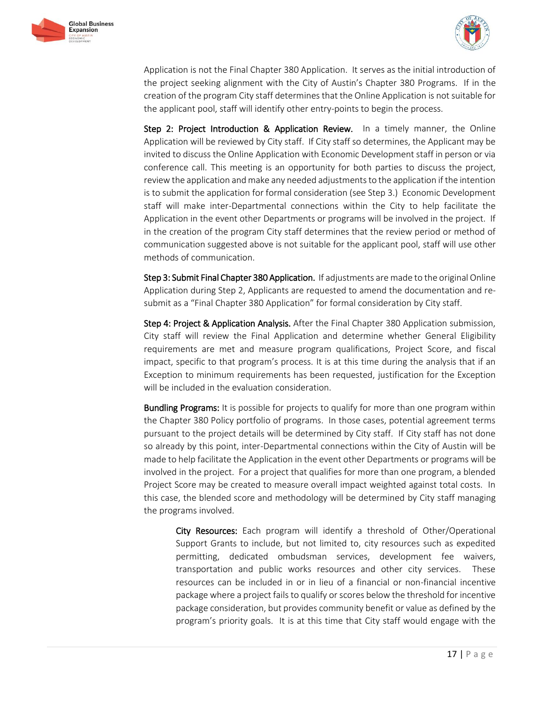



Application is not the Final Chapter 380 Application. It serves as the initial introduction of the project seeking alignment with the City of Austin's Chapter 380 Programs. If in the creation of the program City staff determines that the Online Application is not suitable for the applicant pool, staff will identify other entry-points to begin the process.

Step 2: Project Introduction & Application Review. In a timely manner, the Online Application will be reviewed by City staff. If City staff so determines, the Applicant may be invited to discuss the Online Application with Economic Development staff in person or via conference call. This meeting is an opportunity for both parties to discuss the project, review the application and make any needed adjustments to the application if the intention is to submit the application for formal consideration (see Step 3.) Economic Development staff will make inter-Departmental connections within the City to help facilitate the Application in the event other Departments or programs will be involved in the project. If in the creation of the program City staff determines that the review period or method of communication suggested above is not suitable for the applicant pool, staff will use other methods of communication.

Step 3: Submit Final Chapter 380 Application. If adjustments are made to the original Online Application during Step 2, Applicants are requested to amend the documentation and resubmit as a "Final Chapter 380 Application" for formal consideration by City staff.

Step 4: Project & Application Analysis. After the Final Chapter 380 Application submission, City staff will review the Final Application and determine whether General Eligibility requirements are met and measure program qualifications, Project Score, and fiscal impact, specific to that program's process. It is at this time during the analysis that if an Exception to minimum requirements has been requested, justification for the Exception will be included in the evaluation consideration.

**Bundling Programs:** It is possible for projects to qualify for more than one program within the Chapter 380 Policy portfolio of programs. In those cases, potential agreement terms pursuant to the project details will be determined by City staff. If City staff has not done so already by this point, inter-Departmental connections within the City of Austin will be made to help facilitate the Application in the event other Departments or programs will be involved in the project. For a project that qualifies for more than one program, a blended Project Score may be created to measure overall impact weighted against total costs. In this case, the blended score and methodology will be determined by City staff managing the programs involved.

City Resources: Each program will identify a threshold of Other/Operational Support Grants to include, but not limited to, city resources such as expedited permitting, dedicated ombudsman services, development fee waivers, transportation and public works resources and other city services. These resources can be included in or in lieu of a financial or non-financial incentive package where a project fails to qualify or scores below the threshold for incentive package consideration, but provides community benefit or value as defined by the program's priority goals. It is at this time that City staff would engage with the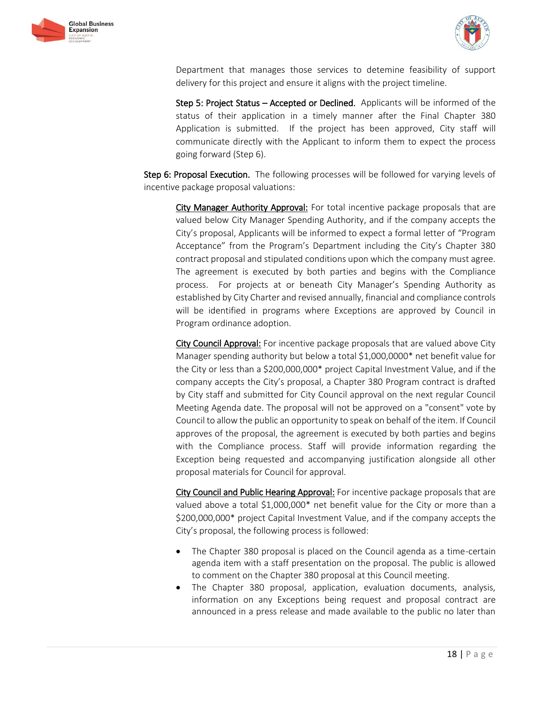



Department that manages those services to detemine feasibility of support delivery for this project and ensure it aligns with the project timeline.

Step 5: Project Status - Accepted or Declined. Applicants will be informed of the status of their application in a timely manner after the Final Chapter 380 Application is submitted. If the project has been approved, City staff will communicate directly with the Applicant to inform them to expect the process going forward (Step 6).

Step 6: Proposal Execution. The following processes will be followed for varying levels of incentive package proposal valuations:

City Manager Authority Approval: For total incentive package proposals that are valued below City Manager Spending Authority, and if the company accepts the City's proposal, Applicants will be informed to expect a formal letter of "Program Acceptance" from the Program's Department including the City's Chapter 380 contract proposal and stipulated conditions upon which the company must agree. The agreement is executed by both parties and begins with the Compliance process. For projects at or beneath City Manager's Spending Authority as established by City Charter and revised annually, financial and compliance controls will be identified in programs where Exceptions are approved by Council in Program ordinance adoption.

City Council Approval: For incentive package proposals that are valued above City Manager spending authority but below a total \$1,000,0000\* net benefit value for the City or less than a \$200,000,000\* project Capital Investment Value, and if the company accepts the City's proposal, a Chapter 380 Program contract is drafted by City staff and submitted for City Council approval on the next regular Council Meeting Agenda date. The proposal will not be approved on a "consent" vote by Council to allow the public an opportunity to speak on behalf of the item. If Council approves of the proposal, the agreement is executed by both parties and begins with the Compliance process. Staff will provide information regarding the Exception being requested and accompanying justification alongside all other proposal materials for Council for approval.

City Council and Public Hearing Approval: For incentive package proposals that are valued above a total \$1,000,000\* net benefit value for the City or more than a \$200,000,000\* project Capital Investment Value, and if the company accepts the City's proposal, the following process is followed:

- The Chapter 380 proposal is placed on the Council agenda as a time-certain agenda item with a staff presentation on the proposal. The public is allowed to comment on the Chapter 380 proposal at this Council meeting.
- The Chapter 380 proposal, application, evaluation documents, analysis, information on any Exceptions being request and proposal contract are announced in a press release and made available to the public no later than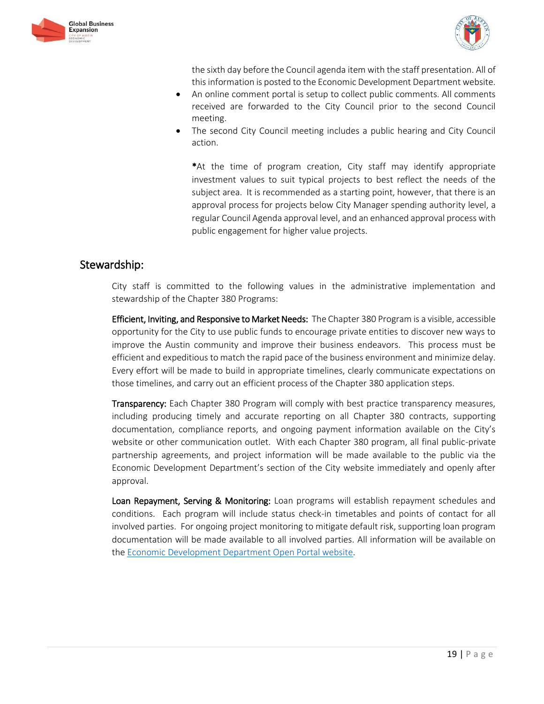



the sixth day before the Council agenda item with the staff presentation. All of this information is posted to the Economic Development Department website.

- An online comment portal is setup to collect public comments. All comments received are forwarded to the City Council prior to the second Council meeting.
- The second City Council meeting includes a public hearing and City Council action.

\*At the time of program creation, City staff may identify appropriate investment values to suit typical projects to best reflect the needs of the subject area. It is recommended as a starting point, however, that there is an approval process for projects below City Manager spending authority level, a regular Council Agenda approval level, and an enhanced approval process with public engagement for higher value projects.

# Stewardship:

City staff is committed to the following values in the administrative implementation and stewardship of the Chapter 380 Programs:

**Efficient, Inviting, and Responsive to Market Needs:** The Chapter 380 Program is a visible, accessible opportunity for the City to use public funds to encourage private entities to discover new ways to improve the Austin community and improve their business endeavors. This process must be efficient and expeditious to match the rapid pace of the business environment and minimize delay. Every effort will be made to build in appropriate timelines, clearly communicate expectations on those timelines, and carry out an efficient process of the Chapter 380 application steps.

**Transparency:** Each Chapter 380 Program will comply with best practice transparency measures, including producing timely and accurate reporting on all Chapter 380 contracts, supporting documentation, compliance reports, and ongoing payment information available on the City's website or other communication outlet. With each Chapter 380 program, all final public-private partnership agreements, and project information will be made available to the public via the Economic Development Department's section of the City website immediately and openly after approval.

Loan Repayment, Serving & Monitoring: Loan programs will establish repayment schedules and conditions. Each program will include status check-in timetables and points of contact for all involved parties. For ongoing project monitoring to mitigate default risk, supporting loan program documentation will be made available to all involved parties. All information will be available on the [Economic Development Department Open Portal website.](http://www.austintexas.gov/economic-development-compliance)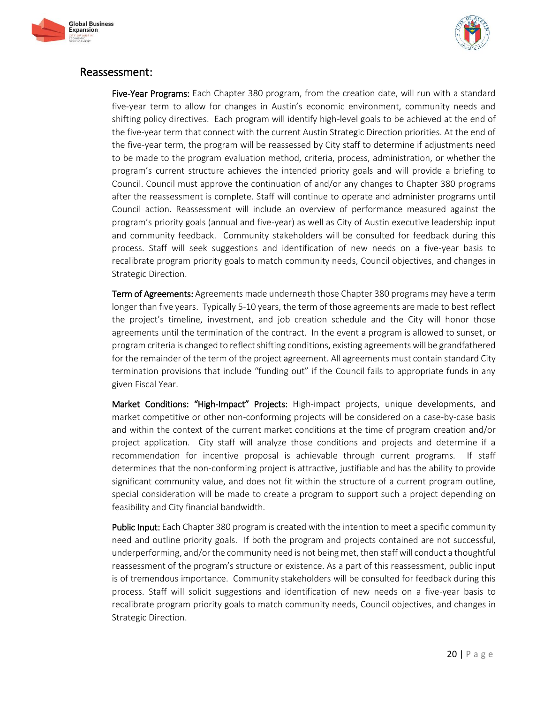



# Reassessment:

Five-Year Programs: Each Chapter 380 program, from the creation date, will run with a standard five-year term to allow for changes in Austin's economic environment, community needs and shifting policy directives. Each program will identify high-level goals to be achieved at the end of the five-year term that connect with the current Austin Strategic Direction priorities. At the end of the five-year term, the program will be reassessed by City staff to determine if adjustments need to be made to the program evaluation method, criteria, process, administration, or whether the program's current structure achieves the intended priority goals and will provide a briefing to Council. Council must approve the continuation of and/or any changes to Chapter 380 programs after the reassessment is complete. Staff will continue to operate and administer programs until Council action. Reassessment will include an overview of performance measured against the program's priority goals (annual and five-year) as well as City of Austin executive leadership input and community feedback. Community stakeholders will be consulted for feedback during this process. Staff will seek suggestions and identification of new needs on a five-year basis to recalibrate program priority goals to match community needs, Council objectives, and changes in Strategic Direction.

Term of Agreements: Agreements made underneath those Chapter 380 programs may have a term longer than five years. Typically 5-10 years, the term of those agreements are made to best reflect the project's timeline, investment, and job creation schedule and the City will honor those agreements until the termination of the contract. In the event a program is allowed to sunset, or program criteria is changed to reflect shifting conditions, existing agreements will be grandfathered for the remainder of the term of the project agreement. All agreements must contain standard City termination provisions that include "funding out" if the Council fails to appropriate funds in any given Fiscal Year.

Market Conditions: "High-Impact" Projects: High-impact projects, unique developments, and market competitive or other non-conforming projects will be considered on a case-by-case basis and within the context of the current market conditions at the time of program creation and/or project application. City staff will analyze those conditions and projects and determine if a recommendation for incentive proposal is achievable through current programs. If staff determines that the non-conforming project is attractive, justifiable and has the ability to provide significant community value, and does not fit within the structure of a current program outline, special consideration will be made to create a program to support such a project depending on feasibility and City financial bandwidth.

Public Input: Each Chapter 380 program is created with the intention to meet a specific community need and outline priority goals. If both the program and projects contained are not successful, underperforming, and/or the community need is not being met, then staff will conduct a thoughtful reassessment of the program's structure or existence. As a part of this reassessment, public input is of tremendous importance. Community stakeholders will be consulted for feedback during this process. Staff will solicit suggestions and identification of new needs on a five-year basis to recalibrate program priority goals to match community needs, Council objectives, and changes in Strategic Direction.